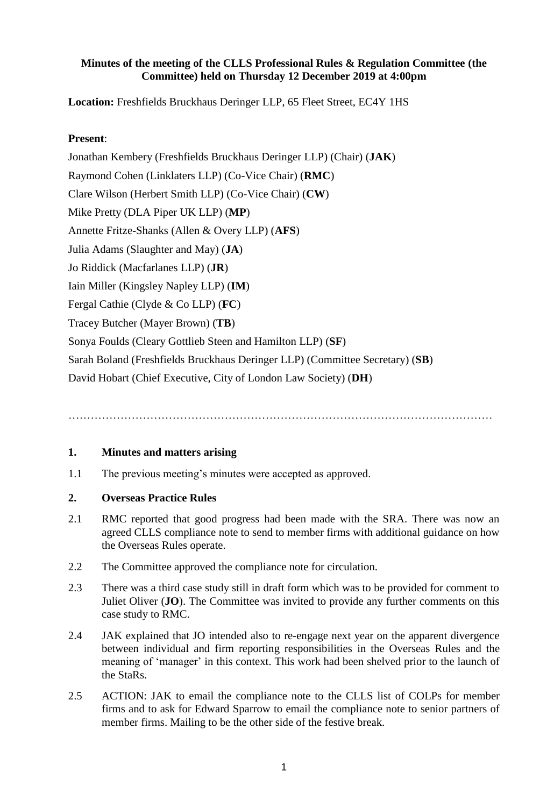### **Minutes of the meeting of the CLLS Professional Rules & Regulation Committee (the Committee) held on Thursday 12 December 2019 at 4:00pm**

**Location:** Freshfields Bruckhaus Deringer LLP, 65 Fleet Street, EC4Y 1HS

## **Present**:

Jonathan Kembery (Freshfields Bruckhaus Deringer LLP) (Chair) (**JAK**) Raymond Cohen (Linklaters LLP) (Co-Vice Chair) (**RMC**) Clare Wilson (Herbert Smith LLP) (Co-Vice Chair) (**CW**) Mike Pretty (DLA Piper UK LLP) (**MP**) Annette Fritze-Shanks (Allen & Overy LLP) (**AFS**) Julia Adams (Slaughter and May) (**JA**) Jo Riddick (Macfarlanes LLP) (**JR**) Iain Miller (Kingsley Napley LLP) (**IM**) Fergal Cathie (Clyde & Co LLP) (**FC**) Tracey Butcher (Mayer Brown) (**TB**) Sonya Foulds (Cleary Gottlieb Steen and Hamilton LLP) (**SF**) Sarah Boland (Freshfields Bruckhaus Deringer LLP) (Committee Secretary) (**SB**) David Hobart (Chief Executive, City of London Law Society) (**DH**)

……………………………………………………………………………………………………

#### **1. Minutes and matters arising**

1.1 The previous meeting's minutes were accepted as approved.

#### **2. Overseas Practice Rules**

- 2.1 RMC reported that good progress had been made with the SRA. There was now an agreed CLLS compliance note to send to member firms with additional guidance on how the Overseas Rules operate.
- 2.2 The Committee approved the compliance note for circulation.
- 2.3 There was a third case study still in draft form which was to be provided for comment to Juliet Oliver (**JO**). The Committee was invited to provide any further comments on this case study to RMC.
- 2.4 JAK explained that JO intended also to re-engage next year on the apparent divergence between individual and firm reporting responsibilities in the Overseas Rules and the meaning of 'manager' in this context. This work had been shelved prior to the launch of the StaRs.
- 2.5 ACTION: JAK to email the compliance note to the CLLS list of COLPs for member firms and to ask for Edward Sparrow to email the compliance note to senior partners of member firms. Mailing to be the other side of the festive break.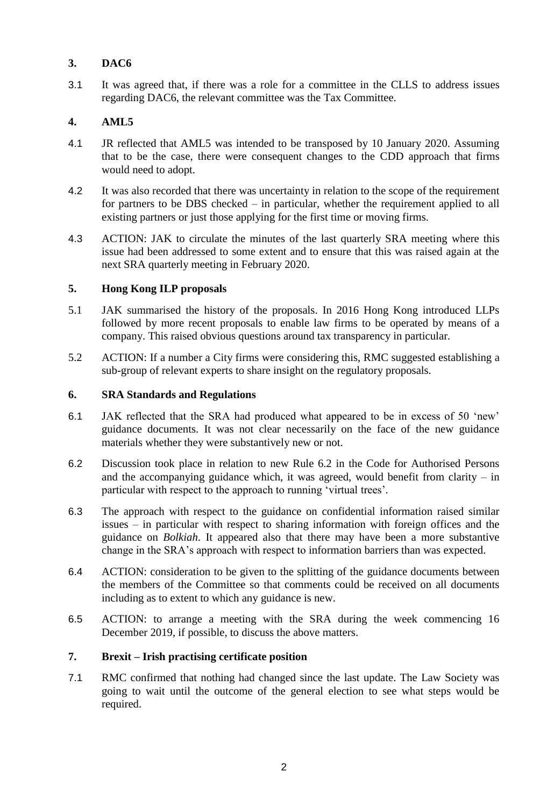# **3. DAC6**

3.1 It was agreed that, if there was a role for a committee in the CLLS to address issues regarding DAC6, the relevant committee was the Tax Committee.

# **4. AML5**

- 4.1 JR reflected that AML5 was intended to be transposed by 10 January 2020. Assuming that to be the case, there were consequent changes to the CDD approach that firms would need to adopt.
- 4.2 It was also recorded that there was uncertainty in relation to the scope of the requirement for partners to be DBS checked – in particular, whether the requirement applied to all existing partners or just those applying for the first time or moving firms.
- 4.3 ACTION: JAK to circulate the minutes of the last quarterly SRA meeting where this issue had been addressed to some extent and to ensure that this was raised again at the next SRA quarterly meeting in February 2020.

# **5. Hong Kong ILP proposals**

- 5.1 JAK summarised the history of the proposals. In 2016 Hong Kong introduced LLPs followed by more recent proposals to enable law firms to be operated by means of a company. This raised obvious questions around tax transparency in particular.
- 5.2 ACTION: If a number a City firms were considering this, RMC suggested establishing a sub-group of relevant experts to share insight on the regulatory proposals.

# **6. SRA Standards and Regulations**

- 6.1 JAK reflected that the SRA had produced what appeared to be in excess of 50 'new' guidance documents. It was not clear necessarily on the face of the new guidance materials whether they were substantively new or not.
- 6.2 Discussion took place in relation to new Rule 6.2 in the Code for Authorised Persons and the accompanying guidance which, it was agreed, would benefit from clarity  $-$  in particular with respect to the approach to running 'virtual trees'.
- 6.3 The approach with respect to the guidance on confidential information raised similar issues – in particular with respect to sharing information with foreign offices and the guidance on *Bolkiah*. It appeared also that there may have been a more substantive change in the SRA's approach with respect to information barriers than was expected.
- 6.4 ACTION: consideration to be given to the splitting of the guidance documents between the members of the Committee so that comments could be received on all documents including as to extent to which any guidance is new.
- 6.5 ACTION: to arrange a meeting with the SRA during the week commencing 16 December 2019, if possible, to discuss the above matters.

# **7. Brexit – Irish practising certificate position**

7.1 RMC confirmed that nothing had changed since the last update. The Law Society was going to wait until the outcome of the general election to see what steps would be required.